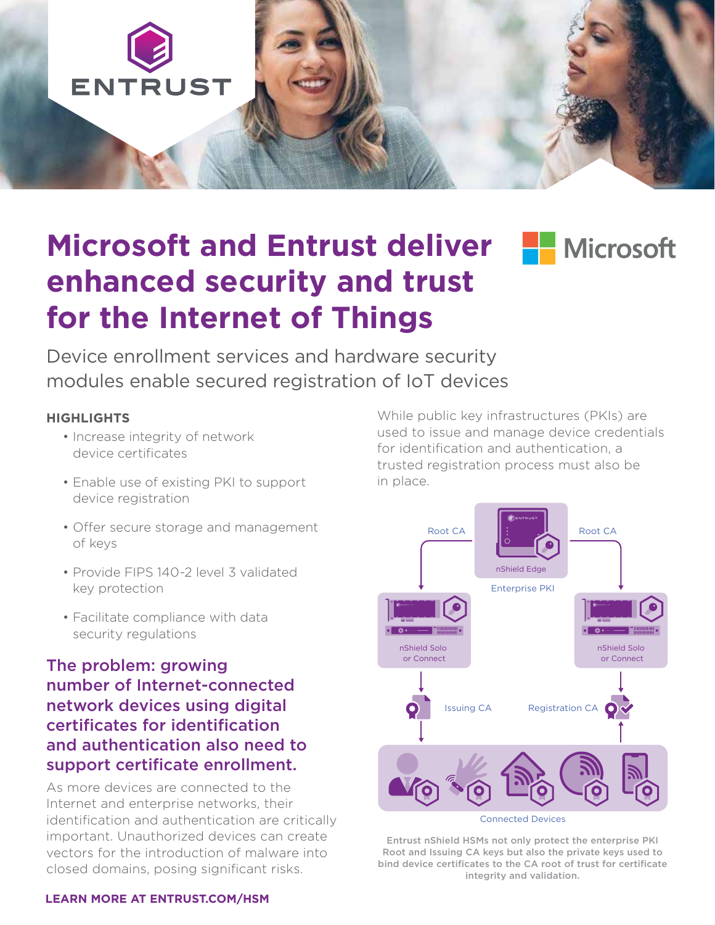

# **Microsoft and Entrust deliver Folly Microsoft enhanced security and trust for the Internet of Things**

Device enrollment services and hardware security modules enable secured registration of IoT devices

### **HIGHLIGHTS**

- Increase integrity of network device certificates
- Enable use of existing PKI to support device registration
- Offer secure storage and management of keys
- Provide FIPS 140-2 level 3 validated key protection
- Facilitate compliance with data security regulations

### The problem: growing number of Internet-connected network devices using digital certificates for identification and authentication also need to support certificate enrollment.

As more devices are connected to the Internet and enterprise networks, their identification and authentication are critically important. Unauthorized devices can create vectors for the introduction of malware into closed domains, posing significant risks.

While public key infrastructures (PKIs) are used to issue and manage device credentials for identification and authentication, a trusted registration process must also be in place.



Entrust nShield HSMs not only protect the enterprise PKI Root and Issuing CA keys but also the private keys used to bind device certificates to the CA root of trust for certificate integrity and validation.

#### **[LEARN MORE AT ENTRUST.COM/HSM](http://www.entrust.com/hsm)**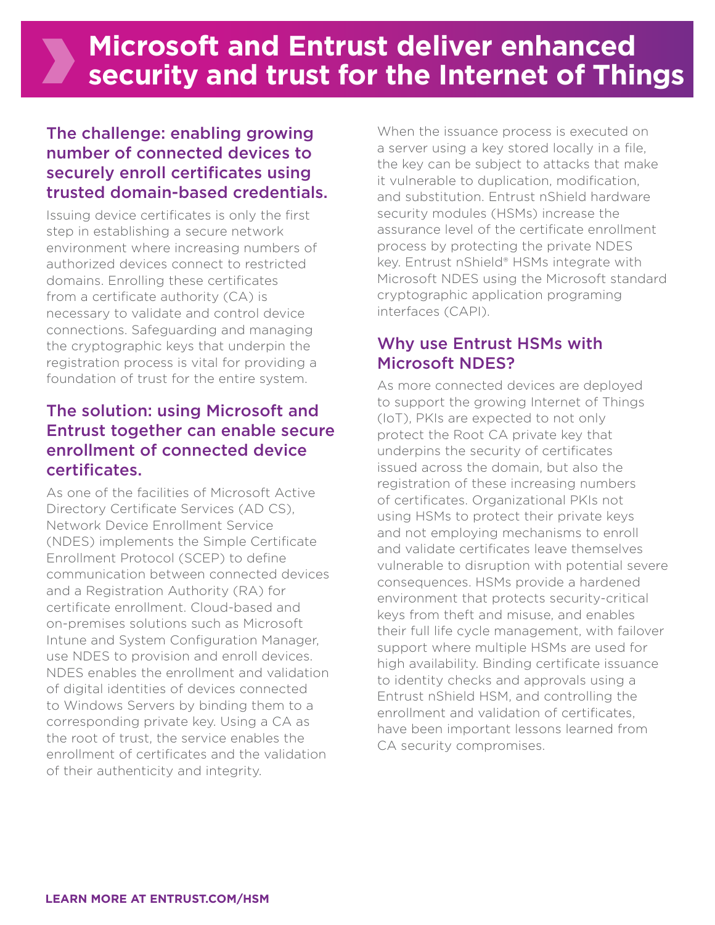## The challenge: enabling growing number of connected devices to securely enroll certificates using trusted domain-based credentials.

Issuing device certificates is only the first step in establishing a secure network environment where increasing numbers of authorized devices connect to restricted domains. Enrolling these certificates from a certificate authority (CA) is necessary to validate and control device connections. Safeguarding and managing the cryptographic keys that underpin the registration process is vital for providing a foundation of trust for the entire system.

### The solution: using Microsoft and Entrust together can enable secure enrollment of connected device certificates.

As one of the facilities of Microsoft Active Directory Certificate Services (AD CS), Network Device Enrollment Service (NDES) implements the Simple Certificate Enrollment Protocol (SCEP) to define communication between connected devices and a Registration Authority (RA) for certificate enrollment. Cloud-based and on-premises solutions such as Microsoft Intune and System Configuration Manager, use NDES to provision and enroll devices. NDES enables the enrollment and validation of digital identities of devices connected to Windows Servers by binding them to a corresponding private key. Using a CA as the root of trust, the service enables the enrollment of certificates and the validation of their authenticity and integrity.

When the issuance process is executed on a server using a key stored locally in a file, the key can be subject to attacks that make it vulnerable to duplication, modification, and substitution. Entrust nShield hardware security modules (HSMs) increase the assurance level of the certificate enrollment process by protecting the private NDES key. Entrust nShield® HSMs integrate with Microsoft NDES using the Microsoft standard cryptographic application programing interfaces (CAPI).

## Why use Entrust HSMs with Microsoft NDES?

As more connected devices are deployed to support the growing Internet of Things (IoT), PKIs are expected to not only protect the Root CA private key that underpins the security of certificates issued across the domain, but also the registration of these increasing numbers of certificates. Organizational PKIs not using HSMs to protect their private keys and not employing mechanisms to enroll and validate certificates leave themselves vulnerable to disruption with potential severe consequences. HSMs provide a hardened environment that protects security-critical keys from theft and misuse, and enables their full life cycle management, with failover support where multiple HSMs are used for high availability. Binding certificate issuance to identity checks and approvals using a Entrust nShield HSM, and controlling the enrollment and validation of certificates, have been important lessons learned from CA security compromises.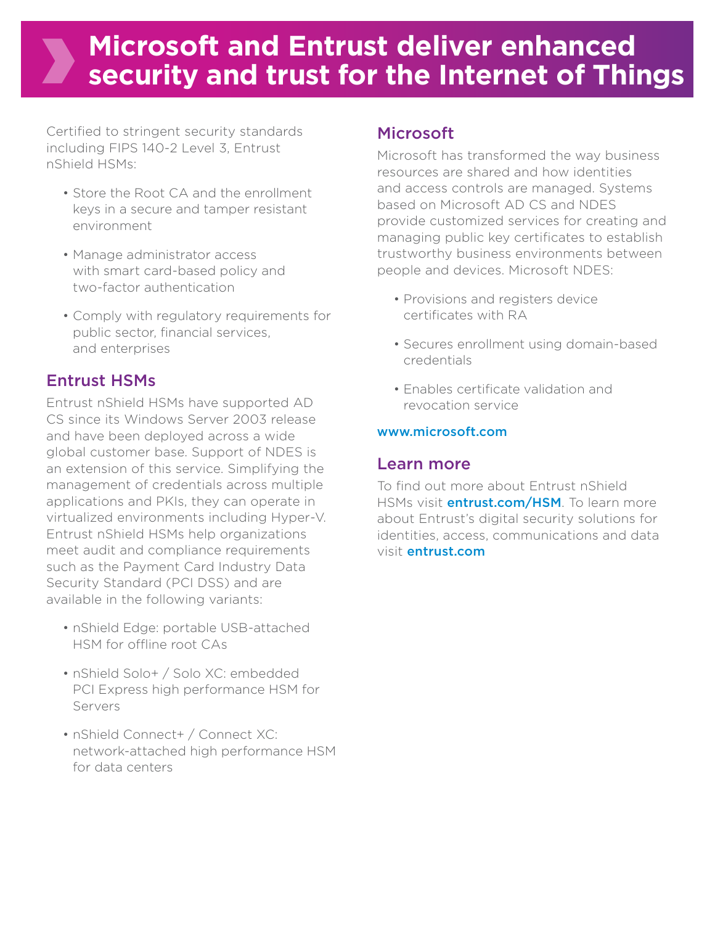## **Microsoft and Entrust deliver enhanced security and trust for the Internet of Things**

Certified to stringent security standards including FIPS 140-2 Level 3, Entrust nShield HSMs:

- Store the Root CA and the enrollment keys in a secure and tamper resistant environment
- Manage administrator access with smart card-based policy and two-factor authentication
- Comply with regulatory requirements for public sector, financial services, and enterprises

## Entrust HSMs

Entrust nShield HSMs have supported AD CS since its Windows Server 2003 release and have been deployed across a wide global customer base. Support of NDES is an extension of this service. Simplifying the management of credentials across multiple applications and PKIs, they can operate in virtualized environments including Hyper-V. Entrust nShield HSMs help organizations meet audit and compliance requirements such as the Payment Card Industry Data Security Standard (PCI DSS) and are available in the following variants:

- nShield Edge: portable USB-attached HSM for offline root CAs
- nShield Solo+ / Solo XC: embedded PCI Express high performance HSM for Servers
- nShield Connect+ / Connect XC: network-attached high performance HSM for data centers

### Microsoft

Microsoft has transformed the way business resources are shared and how identities and access controls are managed. Systems based on Microsoft AD CS and NDES provide customized services for creating and managing public key certificates to establish trustworthy business environments between people and devices. Microsoft NDES:

- Provisions and registers device certificates with RA
- Secures enrollment using domain-based credentials
- Enables certificate validation and revocation service

### [www.microsoft.com](http://www.microsoft.com)

### Learn more

To find out more about Entrust nShield HSMs visit **[entrust.com/HSM](http://entrust.com/HSM)**. To learn more about Entrust's digital security solutions for identities, access, communications and data visit [entrust.com](http://entrust.com)